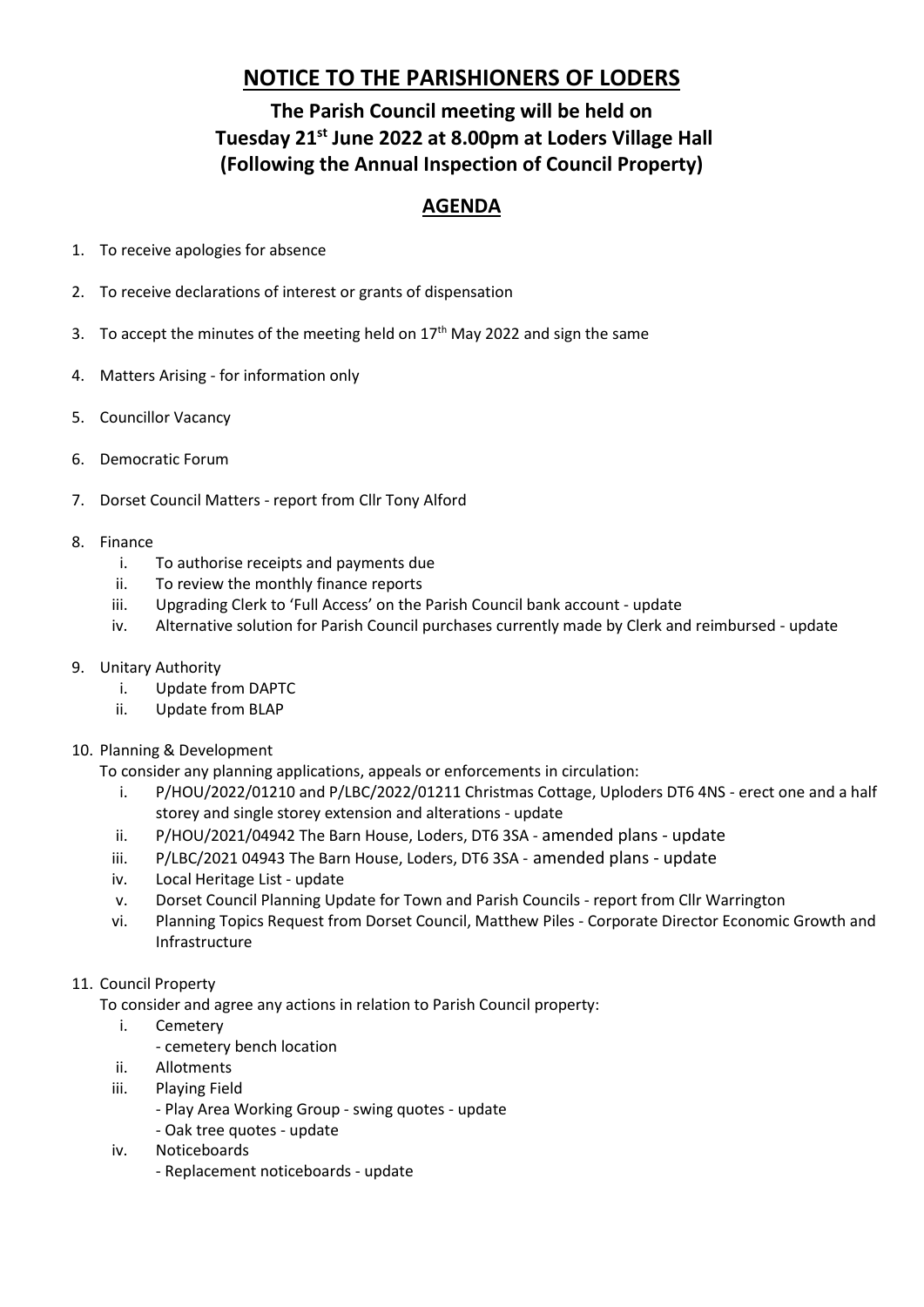# **NOTICE TO THE PARISHIONERS OF LODERS**

## **The Parish Council meeting will be held on Tuesday 21st June 2022 at 8.00pm at Loders Village Hall (Following the Annual Inspection of Council Property)**

## **AGENDA**

- 1. To receive apologies for absence
- 2. To receive declarations of interest or grants of dispensation
- 3. To accept the minutes of the meeting held on  $17<sup>th</sup>$  May 2022 and sign the same
- 4. Matters Arising for information only
- 5. Councillor Vacancy
- 6. Democratic Forum
- 7. Dorset Council Matters report from Cllr Tony Alford
- 8. Finance
	- i. To authorise receipts and payments due
	- ii. To review the monthly finance reports
	- iii. Upgrading Clerk to 'Full Access' on the Parish Council bank account update
	- iv. Alternative solution for Parish Council purchases currently made by Clerk and reimbursed update
- 9. Unitary Authority
	- i. Update from DAPTC
	- ii. Update from BLAP
- 10. Planning & Development

To consider any planning applications, appeals or enforcements in circulation:

- i. P/HOU/2022/01210 and P/LBC/2022/01211 Christmas Cottage, Uploders DT6 4NS erect one and a half storey and single storey extension and alterations - update
- ii. P/HOU/2021/04942 The Barn House, Loders, DT6 3SA amended plans update
- iii. P/LBC/2021 04943 The Barn House, Loders, DT6 3SA amended plans update
- iv. Local Heritage List update
- v. Dorset Council Planning Update for Town and Parish Councils report from Cllr Warrington
- vi. Planning Topics Request from Dorset Council, Matthew Piles Corporate Director Economic Growth and Infrastructure
- 11. Council Property
	- To consider and agree any actions in relation to Parish Council property:
		- i. Cemetery
			- cemetery bench location
		- ii. Allotments
		- iii. Playing Field
			- Play Area Working Group swing quotes update
			- Oak tree quotes update
		- iv. Noticeboards
			- Replacement noticeboards update